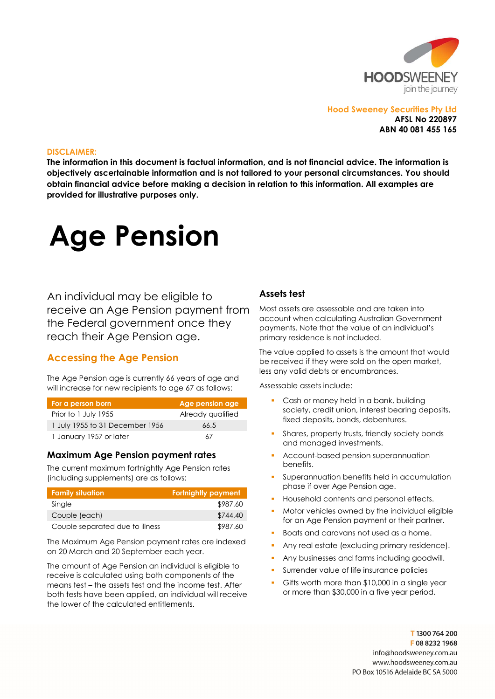

## Hood Sweeney Securities Pty Ltd AFSL No 220897 ABN 40 081 455 165

#### DISCLAIMER:

The information in this document is factual information, and is not financial advice. The information is objectively ascertainable information and is not tailored to your personal circumstances. You should obtain financial advice before making a decision in relation to this information. All examples are provided for illustrative purposes only.

# Age Pension

An individual may be eligible to receive an Age Pension payment from the Federal government once they reach their Age Pension age.

## Accessing the Age Pension

The Age Pension age is currently 66 years of age and will increase for new recipients to age 67 as follows:

| For a person born               | Age pension age   |
|---------------------------------|-------------------|
| Prior to 1 July 1955            | Already qualified |
| 1 July 1955 to 31 December 1956 | 66.5              |
| 1 January 1957 or later         | 67                |

## Maximum Age Pension payment rates

The current maximum fortnightly Age Pension rates (including supplements) are as follows:

| Family situa <u>tion</u>        | Fortnightly payment |
|---------------------------------|---------------------|
| Single                          | \$987.60            |
| Couple (each)                   | \$744.40            |
| Couple separated due to illness | \$987.60            |

The Maximum Age Pension payment rates are indexed on 20 March and 20 September each year.

The amount of Age Pension an individual is eligible to receive is calculated using both components of the means test – the assets test and the income test. After both tests have been applied, an individual will receive the lower of the calculated entitlements.

## Assets test

Most assets are assessable and are taken into account when calculating Australian Government payments. Note that the value of an individual's primary residence is not included.

The value applied to assets is the amount that would be received if they were sold on the open market, less any valid debts or encumbrances.

Assessable assets include:

- Cash or money held in a bank, building society, credit union, interest bearing deposits, fixed deposits, bonds, debentures.
- Shares, property trusts, friendly society bonds and managed investments.
- Account-based pension superannuation benefits.
- Superannuation benefits held in accumulation phase if over Age Pension age.
- Household contents and personal effects.
- Motor vehicles owned by the individual eligible for an Age Pension payment or their partner.
- Boats and caravans not used as a home.
- Any real estate (excluding primary residence).
- Any businesses and farms including goodwill.
- Surrender value of life insurance policies
- Gifts worth more than \$10,000 in a single year or more than \$30,000 in a five year period.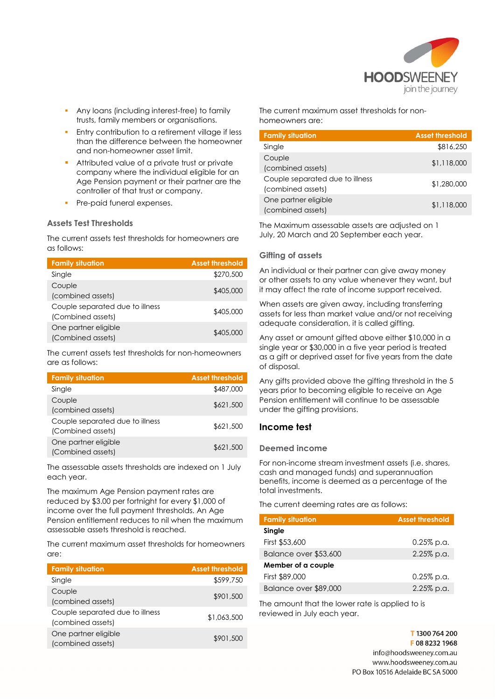

- Any loans (including interest-free) to family trusts, family members or organisations.
- Entry contribution to a retirement village if less than the difference between the homeowner and non-homeowner asset limit.
- Attributed value of a private trust or private company where the individual eligible for an Age Pension payment or their partner are the controller of that trust or company.
- Pre-paid funeral expenses.

## Assets Test Thresholds

The current assets test thresholds for homeowners are as follows:

| <b>Family situation</b>                              | <b>Asset threshold</b> |
|------------------------------------------------------|------------------------|
| Single                                               | \$270,500              |
| Couple<br>(combined assets)                          | \$405,000              |
| Couple separated due to illness<br>(Combined assets) | \$405,000              |
| One partner eligible<br>(Combined assets)            | \$405,000              |

The current assets test thresholds for non-homeowners are as follows:

| <b>Family situation</b>                              | <b>Asset threshold</b> |
|------------------------------------------------------|------------------------|
| Single                                               | \$487,000              |
| Couple<br>(combined assets)                          | \$621,500              |
| Couple separated due to illness<br>(Combined assets) | \$621,500              |
| One partner eligible<br>(Combined assets)            | \$621,500              |

The assessable assets thresholds are indexed on 1 July each year.

The maximum Age Pension payment rates are reduced by \$3.00 per fortnight for every \$1,000 of income over the full payment thresholds. An Age Pension entitlement reduces to nil when the maximum assessable assets threshold is reached.

The current maximum asset thresholds for homeowners are:

| <b>Family situation</b>                              | <b>Asset threshold</b> |
|------------------------------------------------------|------------------------|
| Single                                               | \$599,750              |
| Couple<br>(combined assets)                          | \$901,500              |
| Couple separated due to illness<br>(combined assets) | \$1,063,500            |
| One partner eligible<br>(combined assets)            | \$901,500              |

The current maximum asset thresholds for nonhomeowners are:

| <b>Family situation</b>                              | <b>Asset threshold</b> |
|------------------------------------------------------|------------------------|
| Single                                               | \$816,250              |
| Couple<br>(combined assets)                          | \$1,118,000            |
| Couple separated due to illness<br>(combined assets) | \$1,280,000            |
| One partner eligible<br>(combined assets)            | \$1,118,000            |

The Maximum assessable assets are adjusted on 1 July, 20 March and 20 September each year.

#### Gifting of assets

An individual or their partner can give away money or other assets to any value whenever they want, but it may affect the rate of income support received.

When assets are given away, including transferring assets for less than market value and/or not receiving adequate consideration, it is called gifting.

Any asset or amount gifted above either \$10,000 in a single year or \$30,000 in a five year period is treated as a gift or deprived asset for five years from the date of disposal.

Any gifts provided above the gifting threshold in the 5 years prior to becoming eligible to receive an Age Pension entitlement will continue to be assessable under the gifting provisions.

## Income test

#### Deemed income

For non-income stream investment assets (i.e. shares, cash and managed funds) and superannuation benefits, income is deemed as a percentage of the total investments.

The current deeming rates are as follows:

| <b>Family situation</b> | <b>Asset threshold</b> |
|-------------------------|------------------------|
| Single                  |                        |
| First \$53,600          | $0.25\%$ p.a.          |
| Balance over \$53,600   | 2.25% p.a.             |
| Member of a couple      |                        |
| First \$89,000          | $0.25\%$ p.a.          |
| Balance over \$89,000   | 2.25% p.a.             |

The amount that the lower rate is applied to is reviewed in July each year.